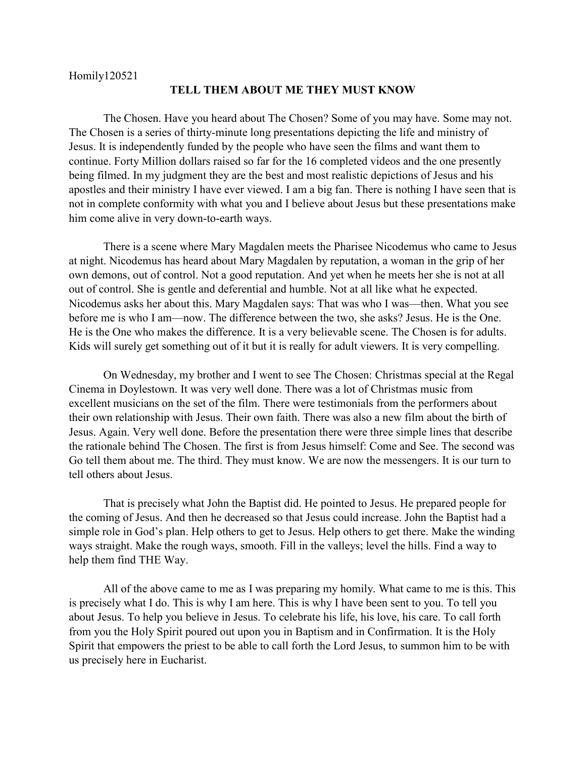Homily120521

## **TELL THEM ABOUT ME THEY MUST KNOW**

The Chosen. Have you heard about The Chosen? Some of you may have. Some may not. The Chosen is a series of thirty-minute long presentations depicting the life and ministry of Jesus. It is independently funded by the people who have seen the films and want them to continue. Forty Million dollars raised so far for the 16 completed videos and the one presently being filmed. In my judgment they are the best and most realistic depictions of Jesus and his apostles and their ministry I have ever viewed. I am a big fan. There is nothing I have seen that is not in complete conformity with what you and I believe about Jesus but these presentations make him come alive in very down-to-earth ways.

There is a scene where Mary Magdalen meets the Pharisee Nicodemus who came to Jesus at night. Nicodemus has heard about Mary Magdalen by reputation, a woman in the grip of her own demons, out of control. Not a good reputation. And yet when he meets her she is not at all out of control. She is gentle and deferential and humble. Not at all like what he expected. Nicodemus asks her about this. Mary Magdalen says: That was who I was—then. What you see before me is who I am—now. The difference between the two, she asks? Jesus. He is the One. He is the One who makes the difference. It is a very believable scene. The Chosen is for adults. Kids will surely get something out of it but it is really for adult viewers. It is very compelling.

On Wednesday, my brother and I went to see The Chosen: Christmas special at the Regal Cinema in Doylestown. It was very well done. There was a lot of Christmas music from excellent musicians on the set of the film. There were testimonials from the performers about their own relationship with Jesus. Their own faith. There was also a new film about the birth of Jesus. Again. Very well done. Before the presentation there were three simple lines that describe the rationale behind The Chosen. The first is from Jesus himself: Come and See. The second was Go tell them about me. The third. They must know. We are now the messengers. It is our turn to tell others about Jesus.

That is precisely what John the Baptist did. He pointed to Jesus. He prepared people for the coming of Jesus. And then he decreased so that Jesus could increase. John the Baptist had a simple role in God's plan. Help others to get to Jesus. Help others to get there. Make the winding ways straight. Make the rough ways, smooth. Fill in the valleys; level the hills. Find a way to help them find THE Way.

All of the above came to me as I was preparing my homily. What came to me is this. This is precisely what I do. This is why I am here. This is why I have been sent to you. To tell you about Jesus. To help you believe in Jesus. To celebrate his life, his love, his care. To call forth from you the Holy Spirit poured out upon you in Baptism and in Confirmation. It is the Holy Spirit that empowers the priest to be able to call forth the Lord Jesus, to summon him to be with us precisely here in Eucharist.